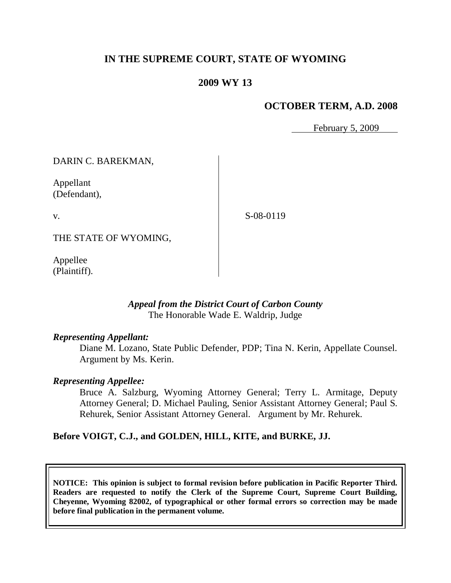## **IN THE SUPREME COURT, STATE OF WYOMING**

## **2009 WY 13**

## **OCTOBER TERM, A.D. 2008**

February 5, 2009

DARIN C. BAREKMAN,

Appellant (Defendant),

v.

S-08-0119

THE STATE OF WYOMING,

Appellee (Plaintiff).

#### *Appeal from the District Court of Carbon County* The Honorable Wade E. Waldrip, Judge

#### *Representing Appellant:*

Diane M. Lozano, State Public Defender, PDP; Tina N. Kerin, Appellate Counsel. Argument by Ms. Kerin.

#### *Representing Appellee:*

Bruce A. Salzburg, Wyoming Attorney General; Terry L. Armitage, Deputy Attorney General; D. Michael Pauling, Senior Assistant Attorney General; Paul S. Rehurek, Senior Assistant Attorney General. Argument by Mr. Rehurek.

## **Before VOIGT, C.J., and GOLDEN, HILL, KITE, and BURKE, JJ.**

**NOTICE: This opinion is subject to formal revision before publication in Pacific Reporter Third. Readers are requested to notify the Clerk of the Supreme Court, Supreme Court Building, Cheyenne, Wyoming 82002, of typographical or other formal errors so correction may be made before final publication in the permanent volume.**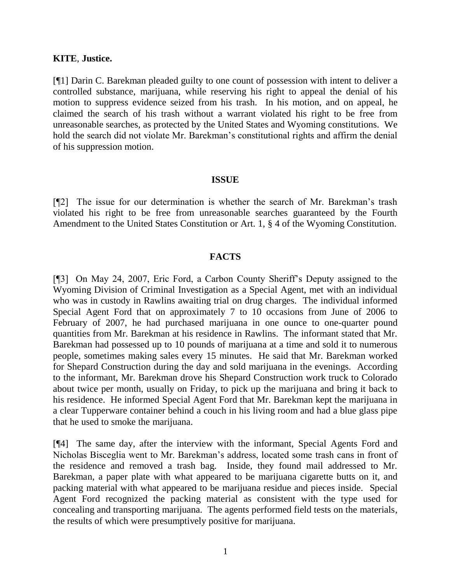#### **KITE**, **Justice.**

[¶1] Darin C. Barekman pleaded guilty to one count of possession with intent to deliver a controlled substance, marijuana, while reserving his right to appeal the denial of his motion to suppress evidence seized from his trash. In his motion, and on appeal, he claimed the search of his trash without a warrant violated his right to be free from unreasonable searches, as protected by the United States and Wyoming constitutions. We hold the search did not violate Mr. Barekman's constitutional rights and affirm the denial of his suppression motion.

#### **ISSUE**

[¶2] The issue for our determination is whether the search of Mr. Barekman's trash violated his right to be free from unreasonable searches guaranteed by the Fourth Amendment to the United States Constitution or Art. 1, § 4 of the Wyoming Constitution.

## **FACTS**

[¶3] On May 24, 2007, Eric Ford, a Carbon County Sheriff's Deputy assigned to the Wyoming Division of Criminal Investigation as a Special Agent, met with an individual who was in custody in Rawlins awaiting trial on drug charges. The individual informed Special Agent Ford that on approximately 7 to 10 occasions from June of 2006 to February of 2007, he had purchased marijuana in one ounce to one-quarter pound quantities from Mr. Barekman at his residence in Rawlins. The informant stated that Mr. Barekman had possessed up to 10 pounds of marijuana at a time and sold it to numerous people, sometimes making sales every 15 minutes. He said that Mr. Barekman worked for Shepard Construction during the day and sold marijuana in the evenings. According to the informant, Mr. Barekman drove his Shepard Construction work truck to Colorado about twice per month, usually on Friday, to pick up the marijuana and bring it back to his residence. He informed Special Agent Ford that Mr. Barekman kept the marijuana in a clear Tupperware container behind a couch in his living room and had a blue glass pipe that he used to smoke the marijuana.

[¶4] The same day, after the interview with the informant, Special Agents Ford and Nicholas Bisceglia went to Mr. Barekman's address, located some trash cans in front of the residence and removed a trash bag. Inside, they found mail addressed to Mr. Barekman, a paper plate with what appeared to be marijuana cigarette butts on it, and packing material with what appeared to be marijuana residue and pieces inside. Special Agent Ford recognized the packing material as consistent with the type used for concealing and transporting marijuana. The agents performed field tests on the materials, the results of which were presumptively positive for marijuana.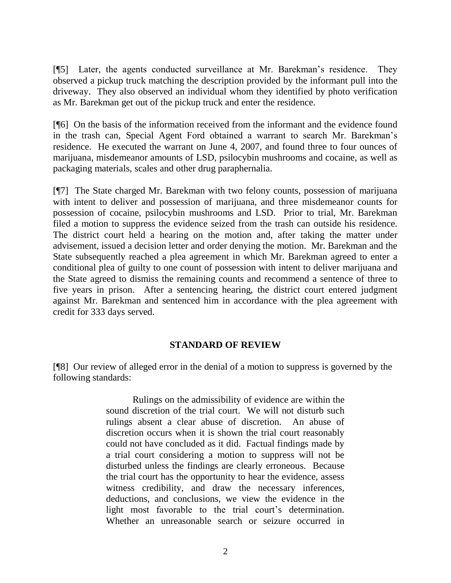[¶5] Later, the agents conducted surveillance at Mr. Barekman's residence. They observed a pickup truck matching the description provided by the informant pull into the driveway. They also observed an individual whom they identified by photo verification as Mr. Barekman get out of the pickup truck and enter the residence.

[¶6] On the basis of the information received from the informant and the evidence found in the trash can, Special Agent Ford obtained a warrant to search Mr. Barekman's residence. He executed the warrant on June 4, 2007, and found three to four ounces of marijuana, misdemeanor amounts of LSD, psilocybin mushrooms and cocaine, as well as packaging materials, scales and other drug paraphernalia.

[¶7] The State charged Mr. Barekman with two felony counts, possession of marijuana with intent to deliver and possession of marijuana, and three misdemeanor counts for possession of cocaine, psilocybin mushrooms and LSD. Prior to trial, Mr. Barekman filed a motion to suppress the evidence seized from the trash can outside his residence. The district court held a hearing on the motion and, after taking the matter under advisement, issued a decision letter and order denying the motion. Mr. Barekman and the State subsequently reached a plea agreement in which Mr. Barekman agreed to enter a conditional plea of guilty to one count of possession with intent to deliver marijuana and the State agreed to dismiss the remaining counts and recommend a sentence of three to five years in prison. After a sentencing hearing, the district court entered judgment against Mr. Barekman and sentenced him in accordance with the plea agreement with credit for 333 days served.

## **STANDARD OF REVIEW**

[¶8] Our review of alleged error in the denial of a motion to suppress is governed by the following standards:

> Rulings on the admissibility of evidence are within the sound discretion of the trial court. We will not disturb such rulings absent a clear abuse of discretion. An abuse of discretion occurs when it is shown the trial court reasonably could not have concluded as it did. Factual findings made by a trial court considering a motion to suppress will not be disturbed unless the findings are clearly erroneous. Because the trial court has the opportunity to hear the evidence, assess witness credibility, and draw the necessary inferences, deductions, and conclusions, we view the evidence in the light most favorable to the trial court's determination. Whether an unreasonable search or seizure occurred in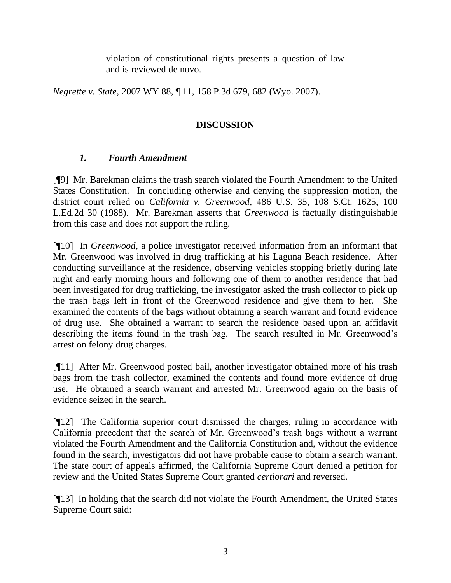violation of constitutional rights presents a question of law and is reviewed de novo.

*Negrette v. State*, 2007 WY 88, ¶ 11, 158 P.3d 679, 682 (Wyo. 2007).

# **DISCUSSION**

# *1. Fourth Amendment*

[¶9] Mr. Barekman claims the trash search violated the Fourth Amendment to the United States Constitution. In concluding otherwise and denying the suppression motion, the district court relied on *California v. Greenwood*, 486 U.S. 35, 108 S.Ct. 1625, 100 L.Ed.2d 30 (1988). Mr. Barekman asserts that *Greenwood* is factually distinguishable from this case and does not support the ruling.

[¶10] In *Greenwood*, a police investigator received information from an informant that Mr. Greenwood was involved in drug trafficking at his Laguna Beach residence. After conducting surveillance at the residence, observing vehicles stopping briefly during late night and early morning hours and following one of them to another residence that had been investigated for drug trafficking, the investigator asked the trash collector to pick up the trash bags left in front of the Greenwood residence and give them to her. She examined the contents of the bags without obtaining a search warrant and found evidence of drug use. She obtained a warrant to search the residence based upon an affidavit describing the items found in the trash bag. The search resulted in Mr. Greenwood's arrest on felony drug charges.

[¶11] After Mr. Greenwood posted bail, another investigator obtained more of his trash bags from the trash collector, examined the contents and found more evidence of drug use. He obtained a search warrant and arrested Mr. Greenwood again on the basis of evidence seized in the search.

[¶12] The California superior court dismissed the charges, ruling in accordance with California precedent that the search of Mr. Greenwood's trash bags without a warrant violated the Fourth Amendment and the California Constitution and, without the evidence found in the search, investigators did not have probable cause to obtain a search warrant. The state court of appeals affirmed, the California Supreme Court denied a petition for review and the United States Supreme Court granted *certiorari* and reversed.

[¶13] In holding that the search did not violate the Fourth Amendment, the United States Supreme Court said: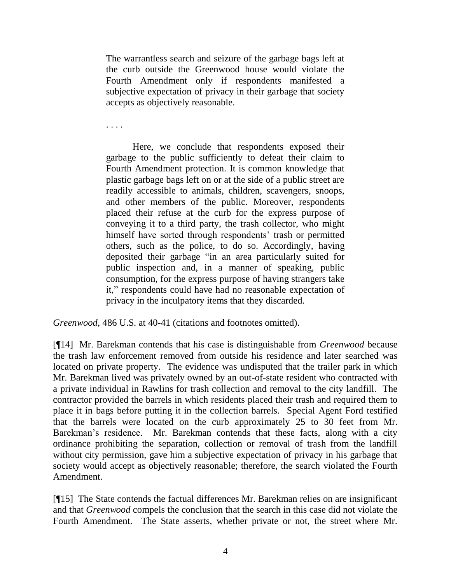The warrantless search and seizure of the garbage bags left at the curb outside the Greenwood house would violate the Fourth Amendment only if respondents manifested a subjective expectation of privacy in their garbage that society accepts as objectively reasonable.

. . . .

Here, we conclude that respondents exposed their garbage to the public sufficiently to defeat their claim to Fourth Amendment protection. It is common knowledge that plastic garbage bags left on or at the side of a public street are readily accessible to animals, children, scavengers, snoops, and other members of the public. Moreover, respondents placed their refuse at the curb for the express purpose of conveying it to a third party, the trash collector, who might himself have sorted through respondents' trash or permitted others, such as the police, to do so. Accordingly, having deposited their garbage "in an area particularly suited for public inspection and, in a manner of speaking, public consumption, for the express purpose of having strangers take it," respondents could have had no reasonable expectation of privacy in the inculpatory items that they discarded.

*Greenwood*, 486 U.S. at 40-41 (citations and footnotes omitted).

[¶14] Mr. Barekman contends that his case is distinguishable from *Greenwood* because the trash law enforcement removed from outside his residence and later searched was located on private property. The evidence was undisputed that the trailer park in which Mr. Barekman lived was privately owned by an out-of-state resident who contracted with a private individual in Rawlins for trash collection and removal to the city landfill. The contractor provided the barrels in which residents placed their trash and required them to place it in bags before putting it in the collection barrels. Special Agent Ford testified that the barrels were located on the curb approximately 25 to 30 feet from Mr. Barekman's residence. Mr. Barekman contends that these facts, along with a city ordinance prohibiting the separation, collection or removal of trash from the landfill without city permission, gave him a subjective expectation of privacy in his garbage that society would accept as objectively reasonable; therefore, the search violated the Fourth Amendment.

[¶15] The State contends the factual differences Mr. Barekman relies on are insignificant and that *Greenwood* compels the conclusion that the search in this case did not violate the Fourth Amendment. The State asserts, whether private or not, the street where Mr.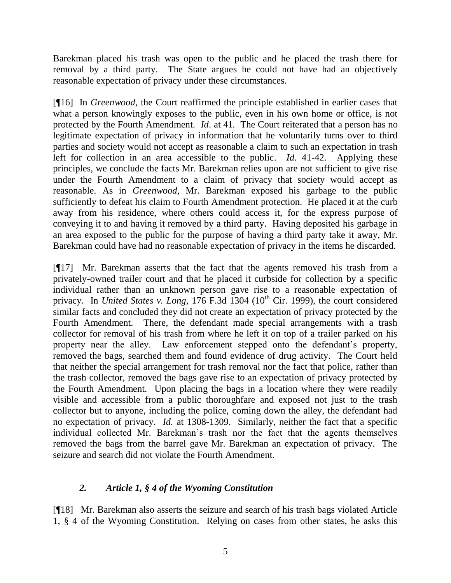Barekman placed his trash was open to the public and he placed the trash there for removal by a third party. The State argues he could not have had an objectively reasonable expectation of privacy under these circumstances.

[¶16] In *Greenwood*, the Court reaffirmed the principle established in earlier cases that what a person knowingly exposes to the public, even in his own home or office, is not protected by the Fourth Amendment. *Id*. at 41. The Court reiterated that a person has no legitimate expectation of privacy in information that he voluntarily turns over to third parties and society would not accept as reasonable a claim to such an expectation in trash left for collection in an area accessible to the public. *Id*. 41-42. Applying these principles, we conclude the facts Mr. Barekman relies upon are not sufficient to give rise under the Fourth Amendment to a claim of privacy that society would accept as reasonable. As in *Greenwood*, Mr. Barekman exposed his garbage to the public sufficiently to defeat his claim to Fourth Amendment protection. He placed it at the curb away from his residence, where others could access it, for the express purpose of conveying it to and having it removed by a third party. Having deposited his garbage in an area exposed to the public for the purpose of having a third party take it away, Mr. Barekman could have had no reasonable expectation of privacy in the items he discarded.

[¶17] Mr. Barekman asserts that the fact that the agents removed his trash from a privately-owned trailer court and that he placed it curbside for collection by a specific individual rather than an unknown person gave rise to a reasonable expectation of privacy. In *United States v. Long*, 176 F.3d 1304 (10<sup>th</sup> Cir. 1999), the court considered similar facts and concluded they did not create an expectation of privacy protected by the Fourth Amendment. There, the defendant made special arrangements with a trash collector for removal of his trash from where he left it on top of a trailer parked on his property near the alley. Law enforcement stepped onto the defendant's property, removed the bags, searched them and found evidence of drug activity. The Court held that neither the special arrangement for trash removal nor the fact that police, rather than the trash collector, removed the bags gave rise to an expectation of privacy protected by the Fourth Amendment. Upon placing the bags in a location where they were readily visible and accessible from a public thoroughfare and exposed not just to the trash collector but to anyone, including the police, coming down the alley, the defendant had no expectation of privacy. *Id.* at 1308-1309. Similarly, neither the fact that a specific individual collected Mr. Barekman's trash nor the fact that the agents themselves removed the bags from the barrel gave Mr. Barekman an expectation of privacy. The seizure and search did not violate the Fourth Amendment.

## *2. Article 1, § 4 of the Wyoming Constitution*

[¶18] Mr. Barekman also asserts the seizure and search of his trash bags violated Article 1, § 4 of the Wyoming Constitution. Relying on cases from other states, he asks this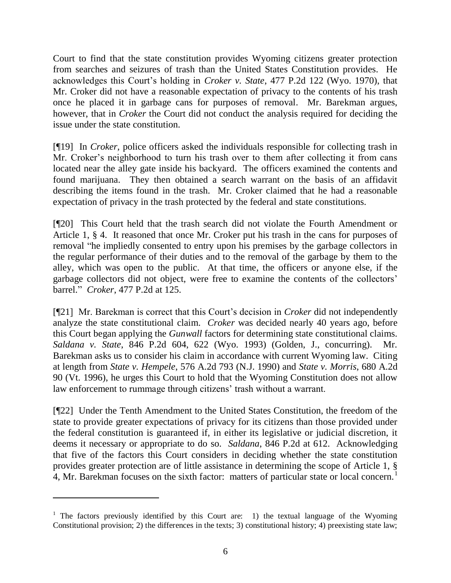Court to find that the state constitution provides Wyoming citizens greater protection from searches and seizures of trash than the United States Constitution provides. He acknowledges this Court's holding in *Croker v. State*, 477 P.2d 122 (Wyo. 1970), that Mr. Croker did not have a reasonable expectation of privacy to the contents of his trash once he placed it in garbage cans for purposes of removal. Mr. Barekman argues, however, that in *Croker* the Court did not conduct the analysis required for deciding the issue under the state constitution.

[¶19] In *Croker,* police officers asked the individuals responsible for collecting trash in Mr. Croker's neighborhood to turn his trash over to them after collecting it from cans located near the alley gate inside his backyard. The officers examined the contents and found marijuana. They then obtained a search warrant on the basis of an affidavit describing the items found in the trash. Mr. Croker claimed that he had a reasonable expectation of privacy in the trash protected by the federal and state constitutions.

[¶20] This Court held that the trash search did not violate the Fourth Amendment or Article 1, § 4. It reasoned that once Mr. Croker put his trash in the cans for purposes of removal "he impliedly consented to entry upon his premises by the garbage collectors in the regular performance of their duties and to the removal of the garbage by them to the alley, which was open to the public. At that time, the officers or anyone else, if the garbage collectors did not object, were free to examine the contents of the collectors' barrel." *Croker*, 477 P.2d at 125.

[¶21] Mr. Barekman is correct that this Court's decision in *Croker* did not independently analyze the state constitutional claim. *Croker* was decided nearly 40 years ago, before this Court began applying the *Gunwall* factors for determining state constitutional claims. *Saldana v. State*, 846 P.2d 604, 622 (Wyo. 1993) (Golden, J., concurring). Mr. Barekman asks us to consider his claim in accordance with current Wyoming law. Citing at length from *State v. Hempele*, 576 A.2d 793 (N.J. 1990) and *State v. Morris*, 680 A.2d 90 (Vt. 1996), he urges this Court to hold that the Wyoming Constitution does not allow law enforcement to rummage through citizens' trash without a warrant.

[¶22] Under the Tenth Amendment to the United States Constitution, the freedom of the state to provide greater expectations of privacy for its citizens than those provided under the federal constitution is guaranteed if, in either its legislative or judicial discretion, it deems it necessary or appropriate to do so. *Saldana*, 846 P.2d at 612. Acknowledging that five of the factors this Court considers in deciding whether the state constitution provides greater protection are of little assistance in determining the scope of Article 1, § 4, Mr. Barekman focuses on the sixth factor: matters of particular state or local concern.<sup>1</sup>

 $\overline{a}$ 

<sup>&</sup>lt;sup>1</sup> The factors previously identified by this Court are: 1) the textual language of the Wyoming Constitutional provision; 2) the differences in the texts; 3) constitutional history; 4) preexisting state law;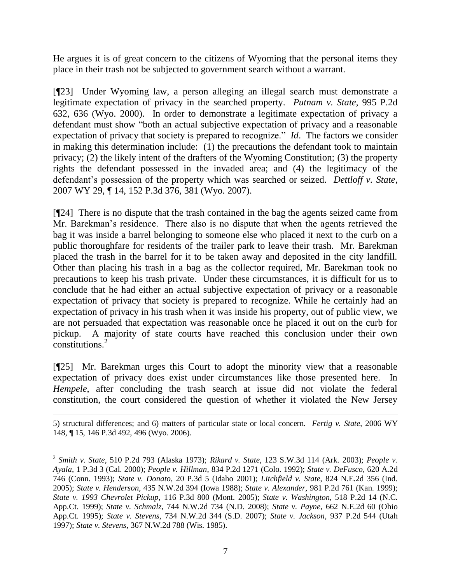He argues it is of great concern to the citizens of Wyoming that the personal items they place in their trash not be subjected to government search without a warrant.

[¶23] Under Wyoming law, a person alleging an illegal search must demonstrate a legitimate expectation of privacy in the searched property. *Putnam v. State,* 995 P.2d 632, 636 (Wyo. 2000). In order to demonstrate a legitimate expectation of privacy a defendant must show "both an actual subjective expectation of privacy and a reasonable expectation of privacy that society is prepared to recognize." *Id*. The factors we consider in making this determination include: (1) the precautions the defendant took to maintain privacy; (2) the likely intent of the drafters of the Wyoming Constitution; (3) the property rights the defendant possessed in the invaded area; and (4) the legitimacy of the defendant's possession of the property which was searched or seized. *Dettloff v. State*, 2007 WY 29, ¶ 14, 152 P.3d 376, 381 (Wyo. 2007).

[¶24] There is no dispute that the trash contained in the bag the agents seized came from Mr. Barekman's residence. There also is no dispute that when the agents retrieved the bag it was inside a barrel belonging to someone else who placed it next to the curb on a public thoroughfare for residents of the trailer park to leave their trash. Mr. Barekman placed the trash in the barrel for it to be taken away and deposited in the city landfill. Other than placing his trash in a bag as the collector required, Mr. Barekman took no precautions to keep his trash private. Under these circumstances, it is difficult for us to conclude that he had either an actual subjective expectation of privacy or a reasonable expectation of privacy that society is prepared to recognize. While he certainly had an expectation of privacy in his trash when it was inside his property, out of public view, we are not persuaded that expectation was reasonable once he placed it out on the curb for pickup. A majority of state courts have reached this conclusion under their own constitutions.<sup>2</sup>

[¶25] Mr. Barekman urges this Court to adopt the minority view that a reasonable expectation of privacy does exist under circumstances like those presented here. In *Hempele*, after concluding the trash search at issue did not violate the federal constitution, the court considered the question of whether it violated the New Jersey

 $\overline{a}$ 5) structural differences; and 6) matters of particular state or local concern. *Fertig v. State*, 2006 WY 148, ¶ 15, 146 P.3d 492, 496 (Wyo. 2006).

<sup>2</sup> *Smith v. State*, 510 P.2d 793 (Alaska 1973); *Rikard v. State*, 123 S.W.3d 114 (Ark. 2003); *People v. Ayala*, 1 P.3d 3 (Cal. 2000); *People v. Hillman*, 834 P.2d 1271 (Colo. 1992); *State v. DeFusco*, 620 A.2d 746 (Conn. 1993); *State v. Donato*, 20 P.3d 5 (Idaho 2001); *Litchfield v. State*, 824 N.E.2d 356 (Ind. 2005); *State v. Henderson*, 435 N.W.2d 394 (Iowa 1988); *State v. Alexander*, 981 P.2d 761 (Kan. 1999); *State v. 1993 Chevrolet Pickup*, 116 P.3d 800 (Mont. 2005); *State v. Washington*, 518 P.2d 14 (N.C. App.Ct. 1999); *State v. Schmalz*, 744 N.W.2d 734 (N.D. 2008); *State v. Payne*, 662 N.E.2d 60 (Ohio App.Ct. 1995); *State v. Stevens*, 734 N.W.2d 344 (S.D. 2007); *State v. Jackson*, 937 P.2d 544 (Utah 1997); *State v. Stevens*, 367 N.W.2d 788 (Wis. 1985).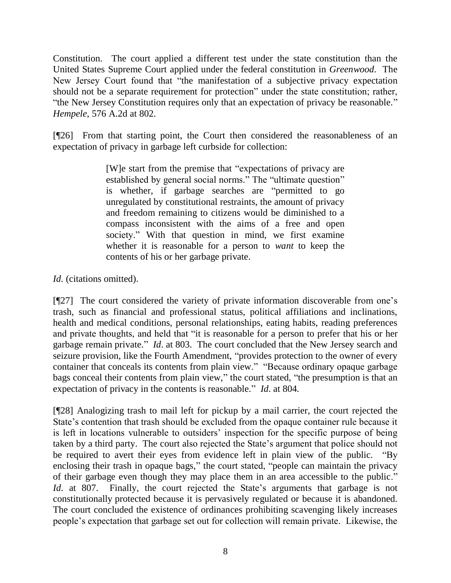Constitution. The court applied a different test under the state constitution than the United States Supreme Court applied under the federal constitution in *Greenwood*. The New Jersey Court found that "the manifestation of a subjective privacy expectation should not be a separate requirement for protection" under the state constitution; rather, "the New Jersey Constitution requires only that an expectation of privacy be reasonable." *Hempele*, 576 A.2d at 802.

[¶26] From that starting point, the Court then considered the reasonableness of an expectation of privacy in garbage left curbside for collection:

> [W]e start from the premise that "expectations of privacy are established by general social norms." The "ultimate question" is whether, if garbage searches are "permitted to go unregulated by constitutional restraints, the amount of privacy and freedom remaining to citizens would be diminished to a compass inconsistent with the aims of a free and open society." With that question in mind, we first examine whether it is reasonable for a person to *want* to keep the contents of his or her garbage private.

*Id*. (citations omitted).

[¶27] The court considered the variety of private information discoverable from one's trash, such as financial and professional status, political affiliations and inclinations, health and medical conditions, personal relationships, eating habits, reading preferences and private thoughts, and held that "it is reasonable for a person to prefer that his or her garbage remain private." *Id*. at 803. The court concluded that the New Jersey search and seizure provision, like the Fourth Amendment, "provides protection to the owner of every container that conceals its contents from plain view." "Because ordinary opaque garbage bags conceal their contents from plain view," the court stated, "the presumption is that an expectation of privacy in the contents is reasonable." *Id*. at 804.

[¶28] Analogizing trash to mail left for pickup by a mail carrier, the court rejected the State's contention that trash should be excluded from the opaque container rule because it is left in locations vulnerable to outsiders' inspection for the specific purpose of being taken by a third party. The court also rejected the State's argument that police should not be required to avert their eyes from evidence left in plain view of the public. "By enclosing their trash in opaque bags," the court stated, "people can maintain the privacy of their garbage even though they may place them in an area accessible to the public." *Id.* at 807. Finally, the court rejected the State's arguments that garbage is not constitutionally protected because it is pervasively regulated or because it is abandoned. The court concluded the existence of ordinances prohibiting scavenging likely increases people's expectation that garbage set out for collection will remain private. Likewise, the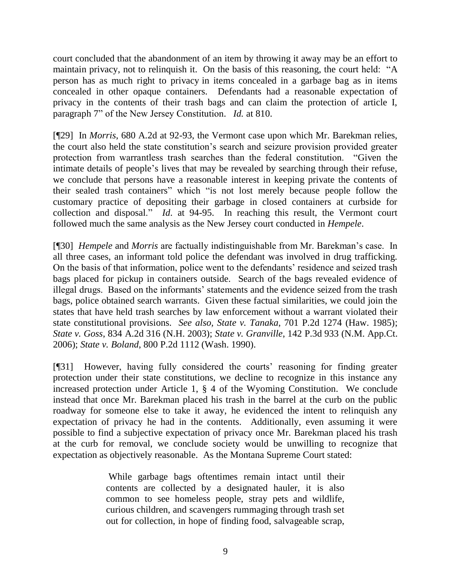court concluded that the abandonment of an item by throwing it away may be an effort to maintain privacy, not to relinquish it. On the basis of this reasoning, the court held: "A person has as much right to privacy in items concealed in a garbage bag as in items concealed in other opaque containers. Defendants had a reasonable expectation of privacy in the contents of their trash bags and can claim the protection of article I, paragraph 7" of the New Jersey Constitution. *Id.* at 810.

[¶29] In *Morris*, 680 A.2d at 92-93, the Vermont case upon which Mr. Barekman relies, the court also held the state constitution's search and seizure provision provided greater protection from warrantless trash searches than the federal constitution. "Given the intimate details of people's lives that may be revealed by searching through their refuse, we conclude that persons have a reasonable interest in keeping private the contents of their sealed trash containers" which "is not lost merely because people follow the customary practice of depositing their garbage in closed containers at curbside for collection and disposal." *Id*. at 94-95. In reaching this result, the Vermont court followed much the same analysis as the New Jersey court conducted in *Hempele*.

[¶30] *Hempele* and *Morris* are factually indistinguishable from Mr. Barekman's case. In all three cases, an informant told police the defendant was involved in drug trafficking. On the basis of that information, police went to the defendants' residence and seized trash bags placed for pickup in containers outside. Search of the bags revealed evidence of illegal drugs. Based on the informants' statements and the evidence seized from the trash bags, police obtained search warrants. Given these factual similarities, we could join the states that have held trash searches by law enforcement without a warrant violated their state constitutional provisions. *See also, State v. Tanaka*, 701 P.2d 1274 (Haw. 1985); *State v. Goss*, 834 A.2d 316 (N.H. 2003); *State v. Granville*, 142 P.3d 933 (N.M. App.Ct. 2006); *State v. Boland*, 800 P.2d 1112 (Wash. 1990).

[¶31] However, having fully considered the courts' reasoning for finding greater protection under their state constitutions, we decline to recognize in this instance any increased protection under Article 1, § 4 of the Wyoming Constitution. We conclude instead that once Mr. Barekman placed his trash in the barrel at the curb on the public roadway for someone else to take it away, he evidenced the intent to relinquish any expectation of privacy he had in the contents. Additionally, even assuming it were possible to find a subjective expectation of privacy once Mr. Barekman placed his trash at the curb for removal, we conclude society would be unwilling to recognize that expectation as objectively reasonable. As the Montana Supreme Court stated:

> While garbage bags oftentimes remain intact until their contents are collected by a designated hauler, it is also common to see homeless people, stray pets and wildlife, curious children, and scavengers rummaging through trash set out for collection, in hope of finding food, salvageable scrap,